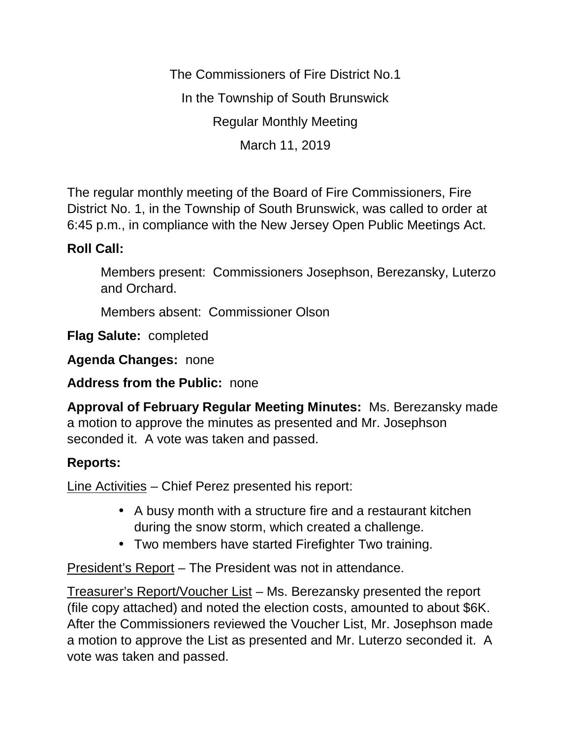The Commissioners of Fire District No.1 In the Township of South Brunswick Regular Monthly Meeting March 11, 2019

The regular monthly meeting of the Board of Fire Commissioners, Fire District No. 1, in the Township of South Brunswick, was called to order at 6:45 p.m., in compliance with the New Jersey Open Public Meetings Act.

## **Roll Call:**

Members present: Commissioners Josephson, Berezansky, Luterzo and Orchard.

Members absent: Commissioner Olson

**Flag Salute:** completed

**Agenda Changes:** none

**Address from the Public:** none

**Approval of February Regular Meeting Minutes:** Ms. Berezansky made a motion to approve the minutes as presented and Mr. Josephson seconded it. A vote was taken and passed.

## **Reports:**

Line Activities – Chief Perez presented his report:

- A busy month with a structure fire and a restaurant kitchen during the snow storm, which created a challenge.
- Two members have started Firefighter Two training.

President's Report – The President was not in attendance.

Treasurer's Report/Voucher List – Ms. Berezansky presented the report (file copy attached) and noted the election costs, amounted to about \$6K. After the Commissioners reviewed the Voucher List, Mr. Josephson made a motion to approve the List as presented and Mr. Luterzo seconded it. A vote was taken and passed.